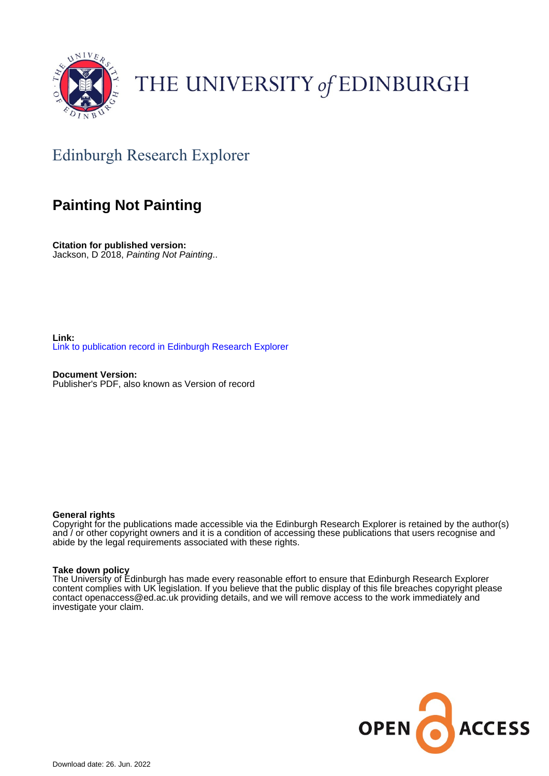

# THE UNIVERSITY of EDINBURGH

# Edinburgh Research Explorer

## **Painting Not Painting**

**Citation for published version:** Jackson, D 2018, Painting Not Painting..

**Link:** [Link to publication record in Edinburgh Research Explorer](https://www.research.ed.ac.uk/en/publications/d21873b5-c4b4-4310-a8e4-f2222dc50677)

**Document Version:** Publisher's PDF, also known as Version of record

## **General rights**

Copyright for the publications made accessible via the Edinburgh Research Explorer is retained by the author(s) and / or other copyright owners and it is a condition of accessing these publications that users recognise and abide by the legal requirements associated with these rights.

## **Take down policy**

The University of Edinburgh has made every reasonable effort to ensure that Edinburgh Research Explorer content complies with UK legislation. If you believe that the public display of this file breaches copyright please contact openaccess@ed.ac.uk providing details, and we will remove access to the work immediately and investigate your claim.

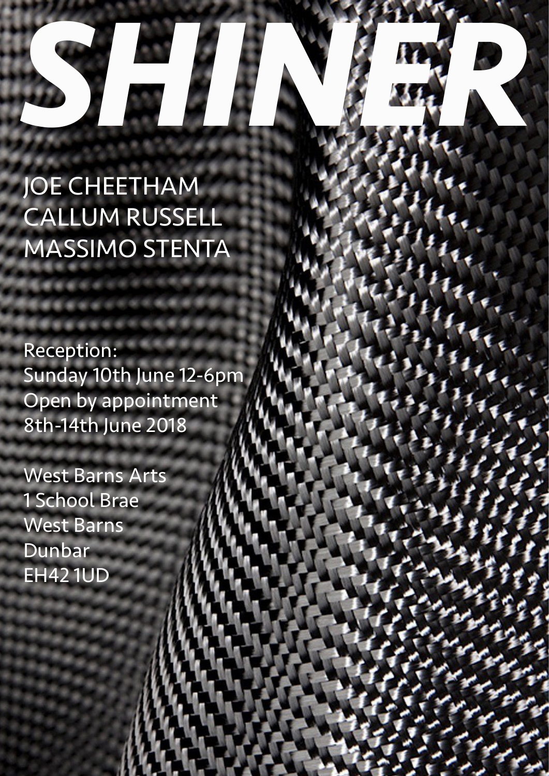# *SHINER*

# JOE CHEETHAM CALLUM RUSSELL MASSIMO STENTA

Reception: Sunday 10th June 12-6pm Open by appointment 8th-14th June 2018

West Barns Arts 1 School Brae West Barns Dunbar EH42 1UD